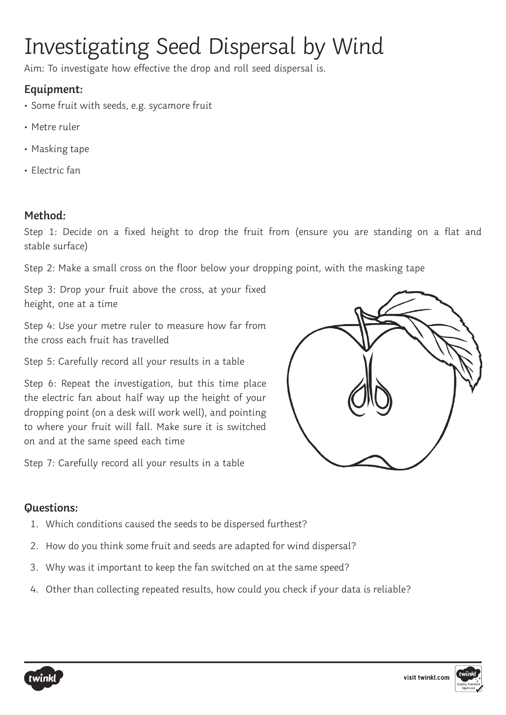# Investigating Seed Dispersal by Wind

Aim: To investigate how effective the drop and roll seed dispersal is.

### **Equipment:**

- Some fruit with seeds, e.g. sycamore fruit
- Metre ruler
- Masking tape
- Electric fan

#### **Method:**

Step 1: Decide on a fixed height to drop the fruit from (ensure you are standing on a flat and stable surface)

Step 2: Make a small cross on the floor below your dropping point, with the masking tape

Step 3: Drop your fruit above the cross, at your fixed height, one at a time

Step 4: Use your metre ruler to measure how far from the cross each fruit has travelled

Step 5: Carefully record all your results in a table

Step 6: Repeat the investigation, but this time place the electric fan about half way up the height of your dropping point (on a desk will work well), and pointing to where your fruit will fall. Make sure it is switched on and at the same speed each time

Step 7: Carefully record all your results in a table



#### **Questions:**

- 1. Which conditions caused the seeds to be dispersed furthest?
- 2. How do you think some fruit and seeds are adapted for wind dispersal?
- 3. Why was it important to keep the fan switched on at the same speed?
- 4. Other than collecting repeated results, how could you check if your data is reliable?

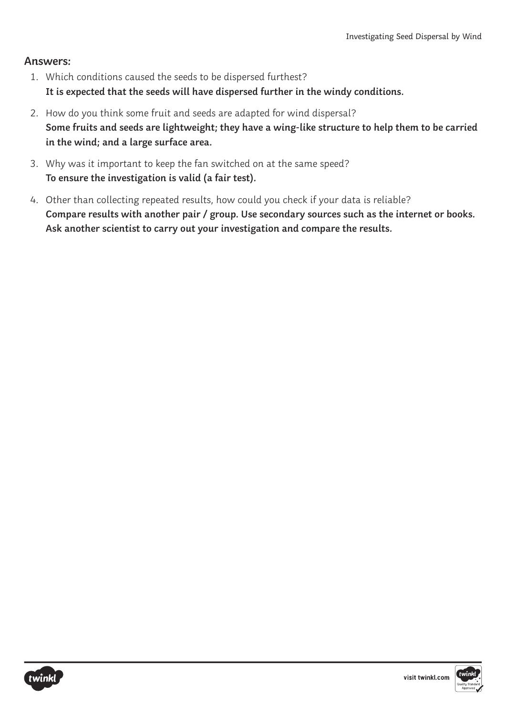#### **Answers:**

- 1. Which conditions caused the seeds to be dispersed furthest? **It is expected that the seeds will have dispersed further in the windy conditions.**
- 2. How do you think some fruit and seeds are adapted for wind dispersal? **Some fruits and seeds are lightweight; they have a wing-like structure to help them to be carried in the wind; and a large surface area.**
- 3. Why was it important to keep the fan switched on at the same speed? **To ensure the investigation is valid (a fair test).**
- 4. Other than collecting repeated results, how could you check if your data is reliable? **Compare results with another pair / group. Use secondary sources such as the internet or books. Ask another scientist to carry out your investigation and compare the results.**